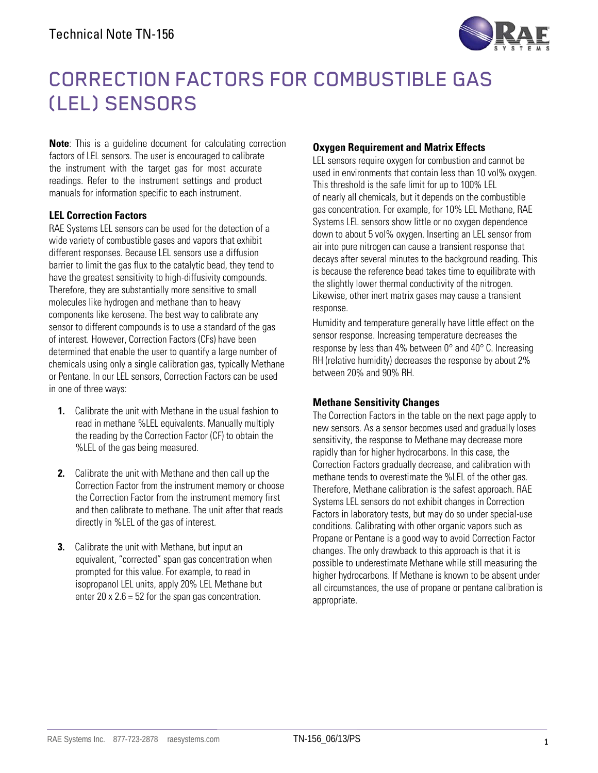

# CORRECTION FACTORS FOR COMBUSTIBLE GAS (LEL) SENSORS

**Note**: This is a guideline document for calculating correction factors of LEL sensors. The user is encouraged to calibrate the instrument with the target gas for most accurate readings. Refer to the instrument settings and product manuals for information specific to each instrument.

## **LEL Correction Factors**

RAE Systems LEL sensors can be used for the detection of a wide variety of combustible gases and vapors that exhibit different responses. Because LEL sensors use a diffusion barrier to limit the gas flux to the catalytic bead, they tend to have the greatest sensitivity to high-diffusivity compounds. Therefore, they are substantially more sensitive to small molecules like hydrogen and methane than to heavy components like kerosene. The best way to calibrate any sensor to different compounds is to use a standard of the gas of interest. However, Correction Factors (CFs) have been determined that enable the user to quantify a large number of chemicals using only a single calibration gas, typically Methane or Pentane. In our LEL sensors, Correction Factors can be used in one of three ways:

- **1.** Calibrate the unit with Methane in the usual fashion to read in methane %LEL equivalents. Manually multiply the reading by the Correction Factor (CF) to obtain the %LEL of the gas being measured.
- **2.** Calibrate the unit with Methane and then call up the Correction Factor from the instrument memory or choose the Correction Factor from the instrument memory first and then calibrate to methane. The unit after that reads directly in %LEL of the gas of interest.
- **3.** Calibrate the unit with Methane, but input an equivalent, "corrected" span gas concentration when prompted for this value. For example, to read in isopropanol LEL units, apply 20% LEL Methane but enter  $20 \times 2.6 = 52$  for the span gas concentration.

## **Oxygen Requirement and Matrix Effects**

LEL sensors require oxygen for combustion and cannot be used in environments that contain less than 10 vol% oxygen. This threshold is the safe limit for up to 100% LEL of nearly all chemicals, but it depends on the combustible gas concentration. For example, for 10% LEL Methane, RAE Systems LEL sensors show little or no oxygen dependence down to about 5 vol% oxygen. Inserting an LEL sensor from air into pure nitrogen can cause a transient response that decays after several minutes to the background reading. This is because the reference bead takes time to equilibrate with the slightly lower thermal conductivity of the nitrogen. Likewise, other inert matrix gases may cause a transient response.

Humidity and temperature generally have little effect on the sensor response. Increasing temperature decreases the response by less than 4% between  $0^{\circ}$  and 40 $^{\circ}$  C. Increasing RH (relative humidity) decreases the response by about 2% between 20% and 90% RH.

#### **Methane Sensitivity Changes**

The Correction Factors in the table on the next page apply to new sensors. As a sensor becomes used and gradually loses sensitivity, the response to Methane may decrease more rapidly than for higher hydrocarbons. In this case, the Correction Factors gradually decrease, and calibration with methane tends to overestimate the %LEL of the other gas. Therefore, Methane calibration is the safest approach. RAE Systems LEL sensors do not exhibit changes in Correction Factors in laboratory tests, but may do so under special-use conditions. Calibrating with other organic vapors such as Propane or Pentane is a good way to avoid Correction Factor changes. The only drawback to this approach is that it is possible to underestimate Methane while still measuring the higher hydrocarbons. If Methane is known to be absent under all circumstances, the use of propane or pentane calibration is appropriate.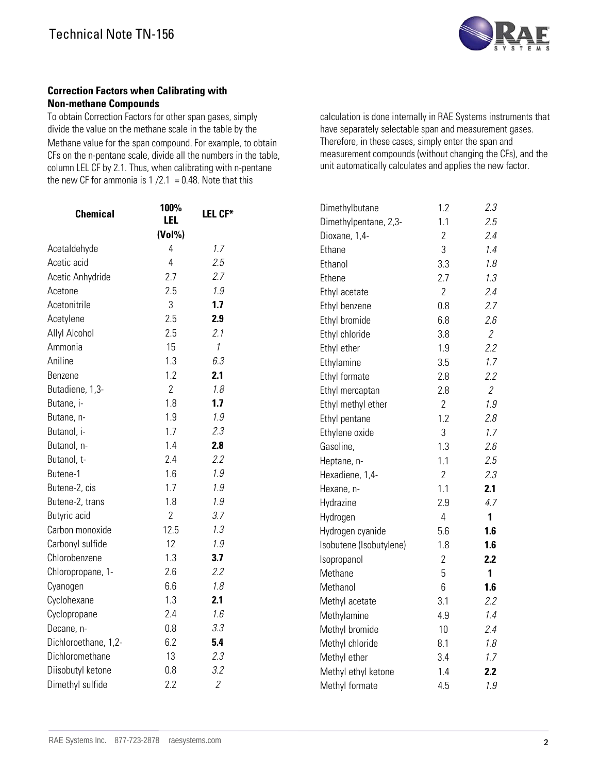

#### **Correction Factors when Calibrating with Non-methane Compounds**

To obtain Correction Factors for other span gases, simply divide the value on the methane scale in the table by the Methane value for the span compound. For example, to obtain CFs on the n-pentane scale, divide all the numbers in the table, column LEL CF by 2.1. Thus, when calibrating with n-pentane the new CF for ammonia is  $1 / 2.1 = 0.48$ . Note that this

calculation is done internally in RAE Systems instruments that have separately selectable span and measurement gases. Therefore, in these cases, simply enter the span and measurement compounds (without changing the CFs), and the unit automatically calculates and applies the new factor.

| <b>Chemical</b>      | 100%           | LEL CF*        | Dimethylbutane          | 1.2            | 2.3                         |
|----------------------|----------------|----------------|-------------------------|----------------|-----------------------------|
|                      | <b>LEL</b>     |                | Dimethylpentane, 2,3-   | 1.1            | 2.5                         |
|                      | (Vol%)         |                | Dioxane, 1,4-           | $\overline{2}$ | 2.4                         |
| Acetaldehyde         | 4              | 1.7            | Ethane                  | 3              | 1.4                         |
| Acetic acid          | $\overline{4}$ | 2.5            | Ethanol                 | 3.3            | 1.8                         |
| Acetic Anhydride     | 2.7            | 2.7            | Ethene                  | 2.7            | 1.3                         |
| Acetone              | 2.5            | 1.9            | Ethyl acetate           | $\overline{2}$ | 2.4                         |
| Acetonitrile         | 3              | 1.7            | Ethyl benzene           | 0.8            | 2.7                         |
| Acetylene            | 2.5            | 2.9            | Ethyl bromide           | 6.8            | 2.6                         |
| Allyl Alcohol        | 2.5            | 2.1            | Ethyl chloride          | 3.8            | $\mathcal{Z}_{\mathcal{C}}$ |
| Ammonia              | 15             | $\it 1$        | Ethyl ether             | 1.9            | 2.2                         |
| Aniline              | 1.3            | 6.3            | Ethylamine              | 3.5            | 1.7                         |
| Benzene              | 1.2            | 2.1            | Ethyl formate           | 2.8            | 2.2                         |
| Butadiene, 1,3-      | $\overline{2}$ | 1.8            | Ethyl mercaptan         | 2.8            | $\overline{2}$              |
| Butane, i-           | 1.8            | 1.7            | Ethyl methyl ether      | $\overline{2}$ | 1.9                         |
| Butane, n-           | 1.9            | 1.9            | Ethyl pentane           | 1.2            | 2.8                         |
| Butanol, i-          | 1.7            | 2.3            | Ethylene oxide          | 3              | 1.7                         |
| Butanol, n-          | 1.4            | 2.8            | Gasoline,               | 1.3            | 2.6                         |
| Butanol, t-          | 2.4            | 2.2            | Heptane, n-             | 1.1            | 2.5                         |
| Butene-1             | 1.6            | 1.9            | Hexadiene, 1,4-         | $\overline{2}$ | 2.3                         |
| Butene-2, cis        | 1.7            | 1.9            | Hexane, n-              | 1.1            | 2.1                         |
| Butene-2, trans      | 1.8            | 1.9            | Hydrazine               | 2.9            | 4.7                         |
| Butyric acid         | $\overline{2}$ | 3.7            | Hydrogen                | $\overline{4}$ | $\mathbf{1}$                |
| Carbon monoxide      | 12.5           | 1.3            | Hydrogen cyanide        | 5.6            | 1.6                         |
| Carbonyl sulfide     | 12             | 1.9            | Isobutene (Isobutylene) | 1.8            | 1.6                         |
| Chlorobenzene        | 1.3            | 3.7            | Isopropanol             | $\overline{2}$ | 2.2                         |
| Chloropropane, 1-    | 2.6            | 2.2            | Methane                 | 5              | $\mathbf{1}$                |
| Cyanogen             | 6.6            | 1.8            | Methanol                | 6              | 1.6                         |
| Cyclohexane          | 1.3            | 2.1            | Methyl acetate          | 3.1            | 2.2                         |
| Cyclopropane         | 2.4            | 1.6            | Methylamine             | 4.9            | 1.4                         |
| Decane, n-           | 0.8            | 3.3            | Methyl bromide          | 10             | 2.4                         |
| Dichloroethane, 1,2- | 6.2            | 5.4            | Methyl chloride         | 8.1            | 1.8                         |
| Dichloromethane      | 13             | 2.3            | Methyl ether            | 3.4            | 1.7                         |
| Diisobutyl ketone    | 0.8            | 3.2            | Methyl ethyl ketone     | 1.4            | 2.2                         |
| Dimethyl sulfide     | 2.2            | $\overline{2}$ | Methyl formate          | 4.5            | 1.9                         |